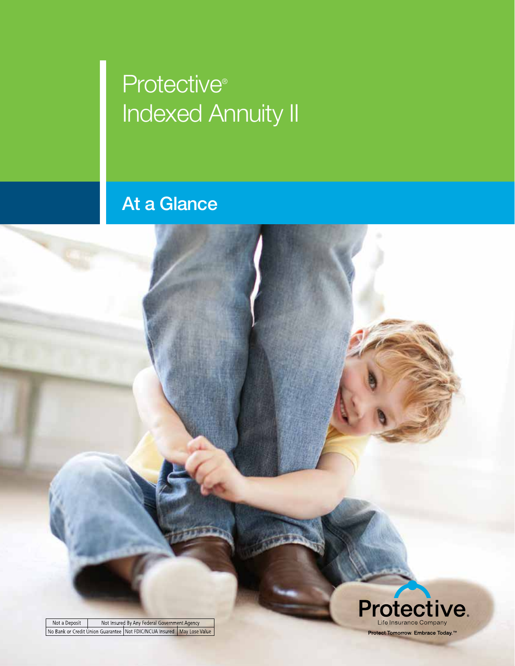## **Protective® Indexed Annuity II**

## At a Glance

Not Insured By Any Federal Government Agency Not a Deposit No Bank or Credit Union Guarantee Not FDIC/NCUA Insured May Lose Value

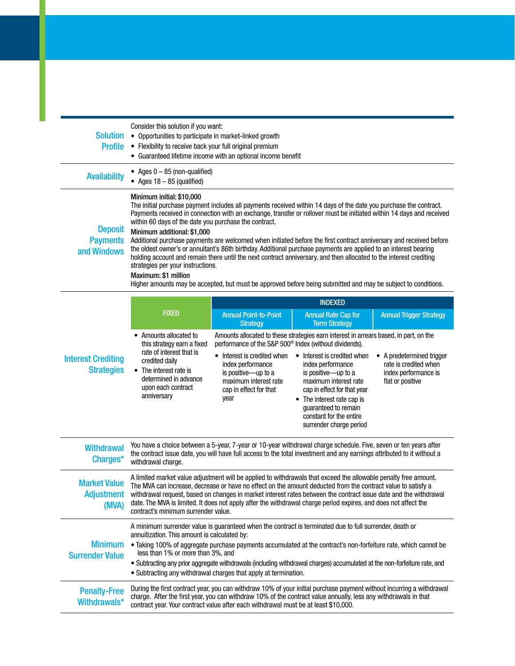| <b>Solution</b><br><b>Profile</b>                | Consider this solution if you want:<br>• Opportunities to participate in market-linked growth<br>• Flexibility to receive back your full original premium<br>• Guaranteed lifetime income with an optional income benefit                                                                                                                                                                                                                                                                                                                                                                                                                                                                                                                                                                          |  |  |
|--------------------------------------------------|----------------------------------------------------------------------------------------------------------------------------------------------------------------------------------------------------------------------------------------------------------------------------------------------------------------------------------------------------------------------------------------------------------------------------------------------------------------------------------------------------------------------------------------------------------------------------------------------------------------------------------------------------------------------------------------------------------------------------------------------------------------------------------------------------|--|--|
| <b>Availability</b>                              | • Ages $0 - 85$ (non-qualified)<br>• Ages $18 - 85$ (qualified)                                                                                                                                                                                                                                                                                                                                                                                                                                                                                                                                                                                                                                                                                                                                    |  |  |
| <b>Deposit</b><br><b>Payments</b><br>and Windows | Minimum initial: \$10,000<br>The initial purchase payment includes all payments received within 14 days of the date you purchase the contract.<br>Payments received in connection with an exchange, transfer or rollover must be initiated within 14 days and received<br>within 60 days of the date you purchase the contract.<br>Minimum additional: \$1,000<br>Additional purchase payments are welcomed when initiated before the first contract anniversary and received before<br>the oldest owner's or annuitant's 86th birthday. Additional purchase payments are applied to an interest bearing<br>holding account and remain there until the next contract anniversary, and then allocated to the interest crediting<br>strategies per your instructions.<br><b>Maximum: \$1 million</b> |  |  |

Higher amounts may be accepted, but must be approved before being submitted and may be subject to conditions.

| <b>Interest Crediting</b><br><b>Strategies</b>    | <b>FIXED</b>                                                                                                                                                                                                                                                                                                                                                                                                                                                                                                   | <b>INDEXED</b>                                                                                                                                                                                         |                                                                                                                                                                                                                                                                                                                                      |                                                                                                |  |
|---------------------------------------------------|----------------------------------------------------------------------------------------------------------------------------------------------------------------------------------------------------------------------------------------------------------------------------------------------------------------------------------------------------------------------------------------------------------------------------------------------------------------------------------------------------------------|--------------------------------------------------------------------------------------------------------------------------------------------------------------------------------------------------------|--------------------------------------------------------------------------------------------------------------------------------------------------------------------------------------------------------------------------------------------------------------------------------------------------------------------------------------|------------------------------------------------------------------------------------------------|--|
|                                                   |                                                                                                                                                                                                                                                                                                                                                                                                                                                                                                                | <b>Annual Point-to-Point</b><br><b>Strategy</b>                                                                                                                                                        | <b>Annual Rate Cap for</b><br><b>Term Strategy</b>                                                                                                                                                                                                                                                                                   | <b>Annual Trigger Strategy</b>                                                                 |  |
|                                                   | • Amounts allocated to<br>this strategy earn a fixed<br>rate of interest that is<br>credited daily<br>• The interest rate is<br>determined in advance<br>upon each contract<br>anniversary                                                                                                                                                                                                                                                                                                                     | performance of the S&P 500 <sup>®</sup> Index (without dividends).<br>Interest is credited when<br>index performance<br>is positive-up to a<br>maximum interest rate<br>cap in effect for that<br>vear | Amounts allocated to these strategies earn interest in arrears based, in part, on the<br>• Interest is credited when<br>index performance<br>is positive-up to a<br>maximum interest rate<br>cap in effect for that year<br>• The interest rate cap is<br>quaranteed to remain<br>constant for the entire<br>surrender charge period | • A predetermined trigger<br>rate is credited when<br>index performance is<br>flat or positive |  |
| <b>Withdrawal</b><br>Charges*                     | You have a choice between a 5-year, 7-year or 10-year withdrawal charge schedule. Five, seven or ten years after<br>the contract issue date, you will have full access to the total investment and any earnings attributed to it without a<br>withdrawal charge.                                                                                                                                                                                                                                               |                                                                                                                                                                                                        |                                                                                                                                                                                                                                                                                                                                      |                                                                                                |  |
| <b>Market Value</b><br><b>Adjustment</b><br>(MVA) | A limited market value adjustment will be applied to withdrawals that exceed the allowable penalty free amount.<br>The MVA can increase, decrease or have no effect on the amount deducted from the contract value to satisfy a<br>withdrawal request, based on changes in market interest rates between the contract issue date and the withdrawal<br>date. The MVA is limited. It does not apply after the withdrawal charge period expires, and does not affect the<br>contract's minimum surrender value.  |                                                                                                                                                                                                        |                                                                                                                                                                                                                                                                                                                                      |                                                                                                |  |
| <b>Minimum</b><br><b>Surrender Value</b>          | A minimum surrender value is guaranteed when the contract is terminated due to full surrender, death or<br>annuitization. This amount is calculated by:<br>. Taking 100% of aggregate purchase payments accumulated at the contract's non-forfeiture rate, which cannot be<br>less than 1% or more than 3%, and<br>. Subtracting any prior aggregate withdrawals (including withdrawal charges) accumulated at the non-forfeiture rate, and<br>• Subtracting any withdrawal charges that apply at termination. |                                                                                                                                                                                                        |                                                                                                                                                                                                                                                                                                                                      |                                                                                                |  |
| <b>Penalty-Free</b><br>Withdrawals*               | During the first contract year, you can withdraw 10% of your initial purchase payment without incurring a withdrawal<br>charge. After the first year, you can withdraw 10% of the contract value annually, less any withdrawals in that<br>contract year. Your contract value after each withdrawal must be at least \$10,000.                                                                                                                                                                                 |                                                                                                                                                                                                        |                                                                                                                                                                                                                                                                                                                                      |                                                                                                |  |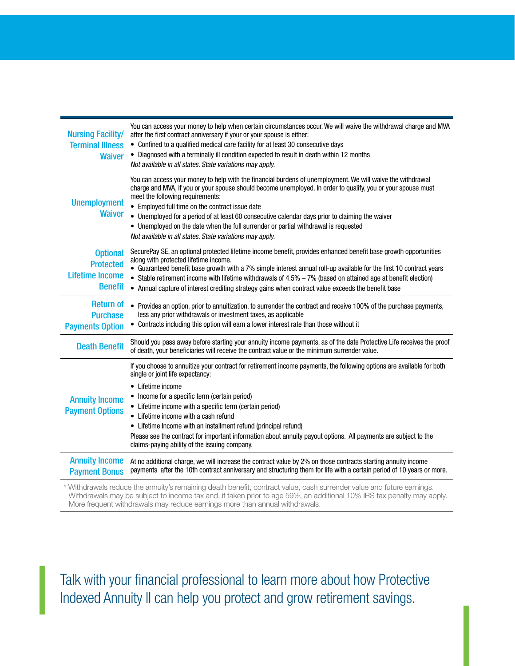| <b>Nursing Facility/</b><br><b>Terminal Illness</b><br><b>Waiver</b>            | You can access your money to help when certain circumstances occur. We will waive the withdrawal charge and MVA<br>after the first contract anniversary if your or your spouse is either:<br>• Confined to a qualified medical care facility for at least 30 consecutive days<br>• Diagnosed with a terminally ill condition expected to result in death within 12 months<br>Not available in all states. State variations may apply.                                                                                                                                   |
|---------------------------------------------------------------------------------|-------------------------------------------------------------------------------------------------------------------------------------------------------------------------------------------------------------------------------------------------------------------------------------------------------------------------------------------------------------------------------------------------------------------------------------------------------------------------------------------------------------------------------------------------------------------------|
| <b>Unemployment</b><br><b>Waiver</b>                                            | You can access your money to help with the financial burdens of unemployment. We will waive the withdrawal<br>charge and MVA, if you or your spouse should become unemployed. In order to qualify, you or your spouse must<br>meet the following requirements:<br>• Employed full time on the contract issue date<br>• Unemployed for a period of at least 60 consecutive calendar days prior to claiming the waiver<br>• Unemployed on the date when the full surrender or partial withdrawal is requested<br>Not available in all states. State variations may apply. |
| <b>Optional</b><br><b>Protected</b><br><b>Lifetime Income</b><br><b>Benefit</b> | SecurePay SE, an optional protected lifetime income benefit, provides enhanced benefit base growth opportunities<br>along with protected lifetime income.<br>• Guaranteed benefit base growth with a 7% simple interest annual roll-up available for the first 10 contract years<br>• Stable retirement income with lifetime withdrawals of $4.5\% - 7\%$ (based on attained age at benefit election)<br>• Annual capture of interest crediting strategy gains when contract value exceeds the benefit base                                                             |
| <b>Return of</b><br><b>Purchase</b><br><b>Payments Option</b>                   | Provides an option, prior to annuitization, to surrender the contract and receive 100% of the purchase payments,<br>less any prior withdrawals or investment taxes, as applicable<br>• Contracts including this option will earn a lower interest rate than those without it                                                                                                                                                                                                                                                                                            |
| <b>Death Benefit</b>                                                            | Should you pass away before starting your annuity income payments, as of the date Protective Life receives the proof<br>of death, your beneficiaries will receive the contract value or the minimum surrender value.                                                                                                                                                                                                                                                                                                                                                    |
| <b>Annuity Income</b><br><b>Payment Options</b>                                 | If you choose to annuitize your contract for retirement income payments, the following options are available for both<br>single or joint life expectancy:<br>• Lifetime income<br>• Income for a specific term (certain period)<br>• Lifetime income with a specific term (certain period)<br>Lifetime income with a cash refund<br>• Lifetime Income with an installment refund (principal refund)<br>Please see the contract for important information about annuity payout options. All payments are subject to the<br>claims-paying ability of the issuing company. |
| <b>Annuity Income</b><br><b>Payment Bonus</b>                                   | At no additional charge, we will increase the contract value by 2% on those contracts starting annuity income<br>payments after the 10th contract anniversary and structuring them for life with a certain period of 10 years or more.                                                                                                                                                                                                                                                                                                                                  |
|                                                                                 | . Withdrawals reduce the annuity's remaining death benefit, contract value, cash surrender value and future earnings. *                                                                                                                                                                                                                                                                                                                                                                                                                                                 |

\* Withdrawals reduce the annuity's remaining death benefit, contract value, cash surrender value and future earnings. Withdrawals may be subject to income tax and, if taken prior to age 59½, an additional 10% IRS tax penalty may apply. More frequent withdrawals may reduce earnings more than annual withdrawals.

Talk with your financial professional to learn more about how Protective Indexed Annuity II can help you protect and grow retirement savings.